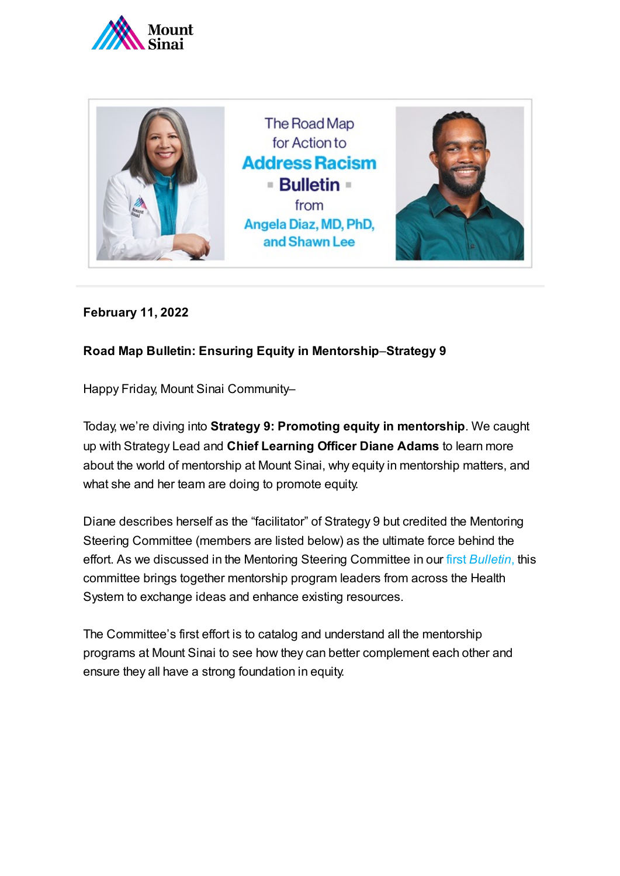



**February 11, 2022**

## **Road Map Bulletin: Ensuring Equity in Mentorship**–**Strategy 9**

Happy Friday, Mount Sinai Community–

Today, we're diving into **Strategy 9: Promoting equity in mentorship**. We caught up with Strategy Lead and **Chief Learning Officer Diane Adams** to learn more about the world of mentorship at Mount Sinai, why equity in mentorship matters, and what she and her team are doing to promote equity.

Diane describes herself as the "facilitator" of Strategy 9 but credited the Mentoring Steering Committee (members are listed below) as the ultimate force behind the effort. As we discussed in the Mentoring Steering Committee in our first *[Bulletin](https://www.mountsinai.org/files/ISMMS/Assets/About%20the%20School/Road-Map-for-Action-Bulletin-1-Where-We-Are-and-How-We-Got-Here.pdf)*, this committee brings together mentorship program leaders from across the Health System to exchange ideas and enhance existing resources.

The Committee's first effort is to catalog and understand all the mentorship programs at Mount Sinai to see how they can better complement each other and ensure they all have a strong foundation in equity.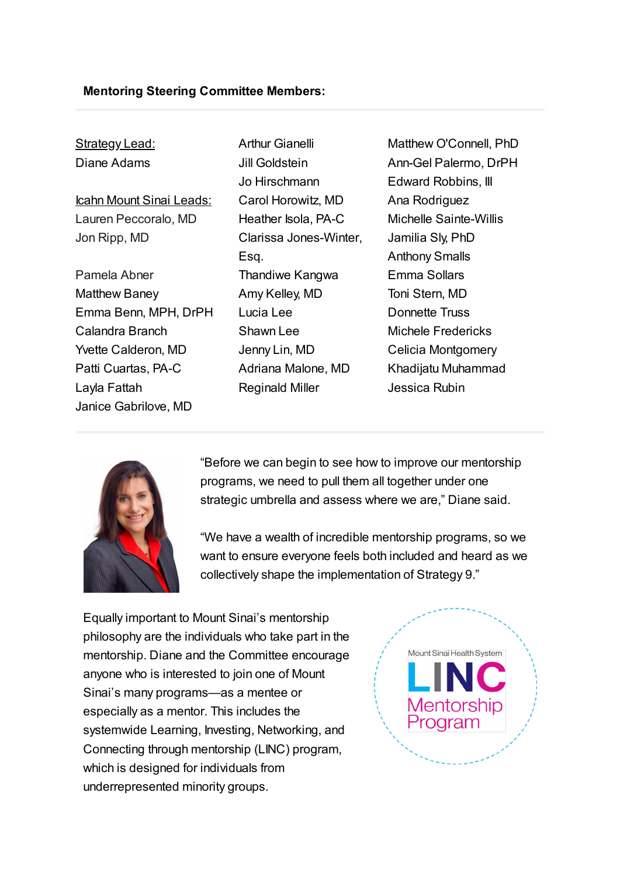## **Mentoring Steering Committee Members:**

| <b>Strategy Lead:</b>    |
|--------------------------|
| Diane Adams              |
|                          |
| Icahn Mount Sinai Leads: |
| Lauren Peccoralo, MD     |
| Jon Ripp, MD             |

Pamela Abner Matthew Baney Emma Benn, MPH, DrPH Calandra Branch Yvette Calderon, MD Patti Cuartas, PA-C Layla Fattah Janice Gabrilove, MD

Arthur Gianelli Jill Goldstein Jo Hirschmann Carol Horowitz, MD Heather Isola, PA-C Clarissa Jones-Winter, Esq. Thandiwe Kangwa Amy Kelley, MD Lucia Lee Shawn Lee Jenny Lin, MD Adriana Malone, MD Reginald Miller

Matthew O'Connell, PhD Ann-Gel Palermo, DrPH Edward Robbins, III Ana Rodriguez Michelle Sainte-Willis Jamilia Sly, PhD Anthony Smalls Emma Sollars Toni Stern, MD Donnette Truss Michele Fredericks Celicia Montgomery Khadijatu Muhammad Jessica Rubin



"Before we can begin to see how to improve our mentorship programs, we need to pull them all together under one strategic umbrella and assess where we are," Diane said.

"We have a wealth of incredible mentorship programs, so we want to ensure everyone feels both included and heard as we collectively shape the implementation of Strategy 9."

Equally important to Mount Sinai's mentorship philosophy are the individuals who take part in the mentorship. Diane and the Committee encourage anyone who is interested to join one of Mount Sinai's many programs—as a mentee or especially as a mentor. This includes the systemwide Learning, Investing, Networking, and Connecting through mentorship (LINC) program, which is designed for individuals from underrepresented minority groups.

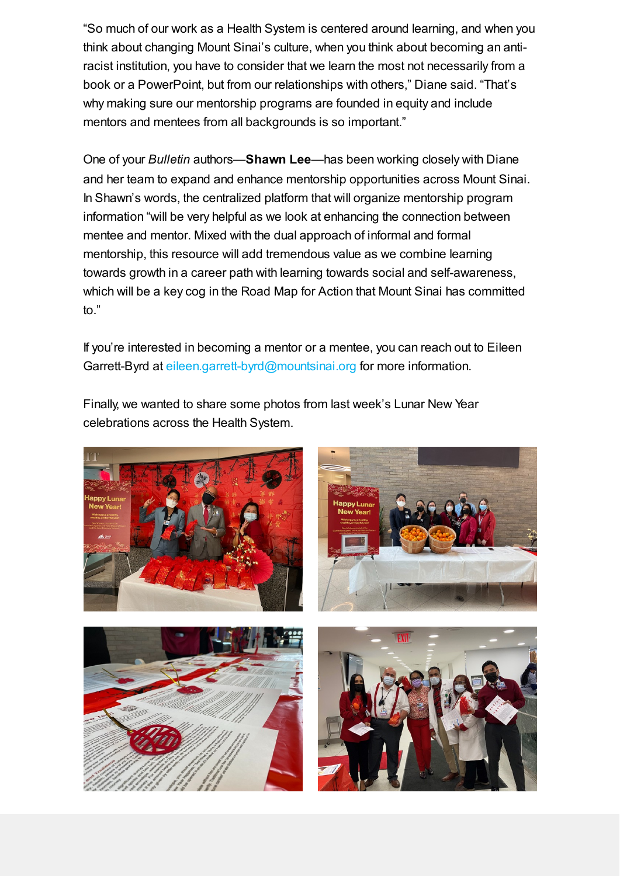"So much of our work as a Health System is centered around learning, and when you think about changing Mount Sinai's culture, when you think about becoming an antiracist institution, you have to consider that we learn the most not necessarily from a book or a PowerPoint, but from our relationships with others," Diane said. "That's why making sure our mentorship programs are founded in equity and include mentors and mentees from all backgrounds is so important."

One of your *Bulletin* authors—**Shawn Lee**—has been working closely with Diane and her team to expand and enhance mentorship opportunities across Mount Sinai. In Shawn's words, the centralized platform that will organize mentorship program information "will be very helpful as we look at enhancing the connection between mentee and mentor. Mixed with the dual approach of informal and formal mentorship, this resource will add tremendous value as we combine learning towards growth in a career path with learning towards social and self-awareness, which will be a key cog in the Road Map for Action that Mount Sinai has committed to."

If you're interested in becoming a mentor or a mentee, you can reach out to Eileen Garrett-Byrd at [eileen.garrett-byrd@mountsinai.org](mailto:eileen.garrett-byrd@mountsinai.org) for more information.

Finally, we wanted to share some photos from last week's Lunar New Year celebrations across the Health System.